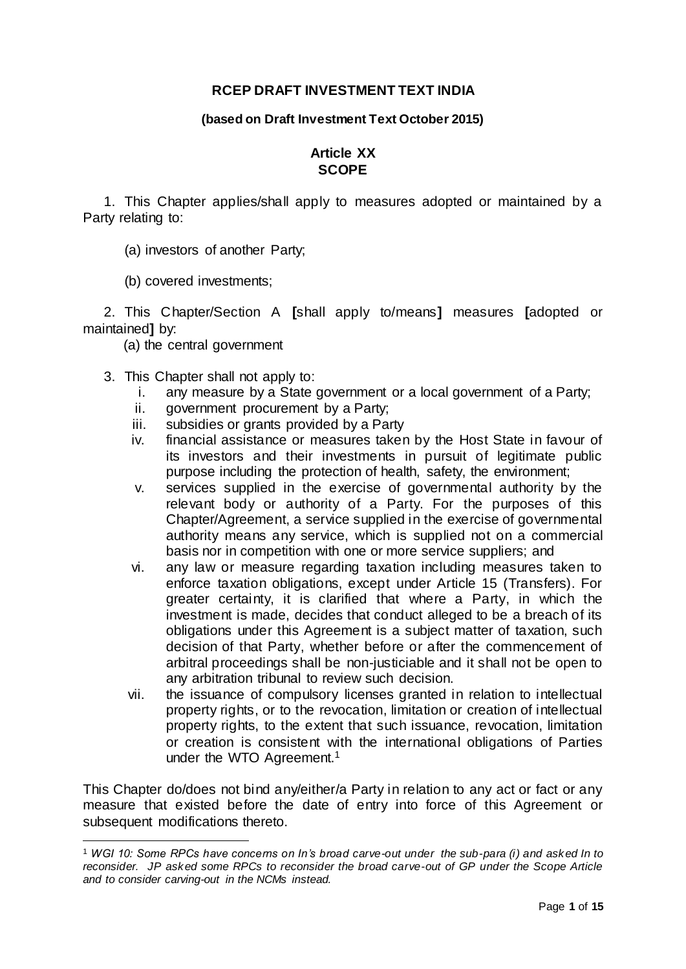### **RCEP DRAFT INVESTMENT TEXT INDIA**

#### **(based on Draft Investment Text October 2015)**

## **Article XX SCOPE**

1. This Chapter applies/shall apply to measures adopted or maintained by a Party relating to:

(a) investors of another Party;

(b) covered investments;

2. This Chapter/Section A **[**shall apply to/means**]** measures **[**adopted or maintained**]** by:

(a) the central government

3. This Chapter shall not apply to:

 $\overline{a}$ 

- i. any measure by a State government or a local government of a Party;
- ii. government procurement by a Party;
- iii. subsidies or grants provided by a Party
- iv. financial assistance or measures taken by the Host State in favour of its investors and their investments in pursuit of legitimate public purpose including the protection of health, safety, the environment;
- v. services supplied in the exercise of governmental authority by the relevant body or authority of a Party. For the purposes of this Chapter/Agreement, a service supplied in the exercise of governmental authority means any service, which is supplied not on a commercial basis nor in competition with one or more service suppliers; and
- vi. any law or measure regarding taxation including measures taken to enforce taxation obligations, except under Article 15 (Transfers). For greater certainty, it is clarified that where a Party, in which the investment is made, decides that conduct alleged to be a breach of its obligations under this Agreement is a subject matter of taxation, such decision of that Party, whether before or after the commencement of arbitral proceedings shall be non-justiciable and it shall not be open to any arbitration tribunal to review such decision.
- vii. the issuance of compulsory licenses granted in relation to intellectual property rights, or to the revocation, limitation or creation of intellectual property rights, to the extent that such issuance, revocation, limitation or creation is consistent with the international obligations of Parties under the WTO Agreement.<sup>1</sup>

This Chapter do/does not bind any/either/a Party in relation to any act or fact or any measure that existed before the date of entry into force of this Agreement or subsequent modifications thereto.

<sup>1</sup> *WGI 10: Some RPCs have concerns on In's broad carve-out under the sub-para (i) and asked In to reconsider. JP asked some RPCs to reconsider the broad carve-out of GP under the Scope Article and to consider carving-out in the NCMs instead.*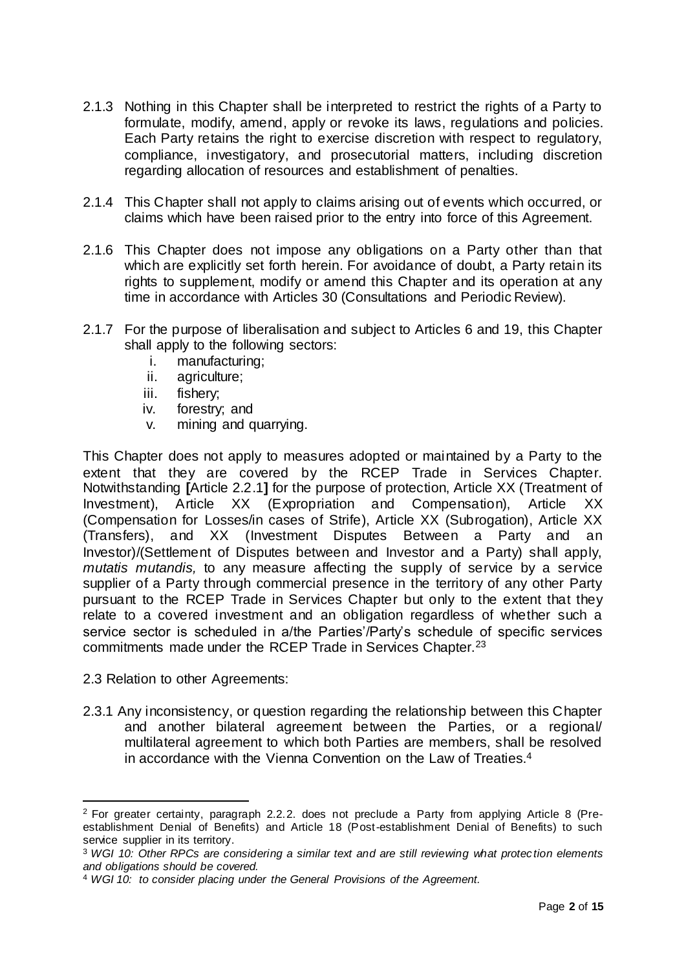- 2.1.3 Nothing in this Chapter shall be interpreted to restrict the rights of a Party to formulate, modify, amend, apply or revoke its laws, regulations and policies. Each Party retains the right to exercise discretion with respect to regulatory, compliance, investigatory, and prosecutorial matters, including discretion regarding allocation of resources and establishment of penalties.
- 2.1.4 This Chapter shall not apply to claims arising out of events which occurred, or claims which have been raised prior to the entry into force of this Agreement.
- 2.1.6 This Chapter does not impose any obligations on a Party other than that which are explicitly set forth herein. For avoidance of doubt, a Party retain its rights to supplement, modify or amend this Chapter and its operation at any time in accordance with Articles 30 (Consultations and Periodic Review).
- 2.1.7 For the purpose of liberalisation and subject to Articles 6 and 19, this Chapter shall apply to the following sectors:
	- i. manufacturing;
	- ii. agriculture;
	- iii. fishery;
	- iv. forestry; and
	- v. mining and quarrying.

This Chapter does not apply to measures adopted or maintained by a Party to the extent that they are covered by the RCEP Trade in Services Chapter. Notwithstanding **[**Article 2.2.1**]** for the purpose of protection, Article XX (Treatment of Investment), Article XX (Expropriation and Compensation), Article XX (Compensation for Losses/in cases of Strife), Article XX (Subrogation), Article XX (Transfers), and XX (Investment Disputes Between a Party and an Investor)/(Settlement of Disputes between and Investor and a Party) shall apply, *mutatis mutandis,* to any measure affecting the supply of service by a service supplier of a Party through commercial presence in the territory of any other Party pursuant to the RCEP Trade in Services Chapter but only to the extent that they relate to a covered investment and an obligation regardless of whether such a service sector is scheduled in a/the Parties'/Party's schedule of specific services commitments made under the RCEP Trade in Services Chapter.<sup>23</sup>

2.3 Relation to other Agreements:

l

2.3.1 Any inconsistency, or question regarding the relationship between this Chapter and another bilateral agreement between the Parties, or a regional/ multilateral agreement to which both Parties are members, shall be resolved in accordance with the Vienna Convention on the Law of Treaties.<sup>4</sup>

<sup>2</sup> For greater certainty, paragraph 2.2.2. does not preclude a Party from applying Article 8 (Preestablishment Denial of Benefits) and Article 18 (Post-establishment Denial of Benefits) to such service supplier in its territory.

<sup>3</sup> *WGI 10: Other RPCs are considering a similar text and are still reviewing what protec tion elements and obligations should be covered.*

<sup>4</sup> *WGI 10: to consider placing under the General Provisions of the Agreement.*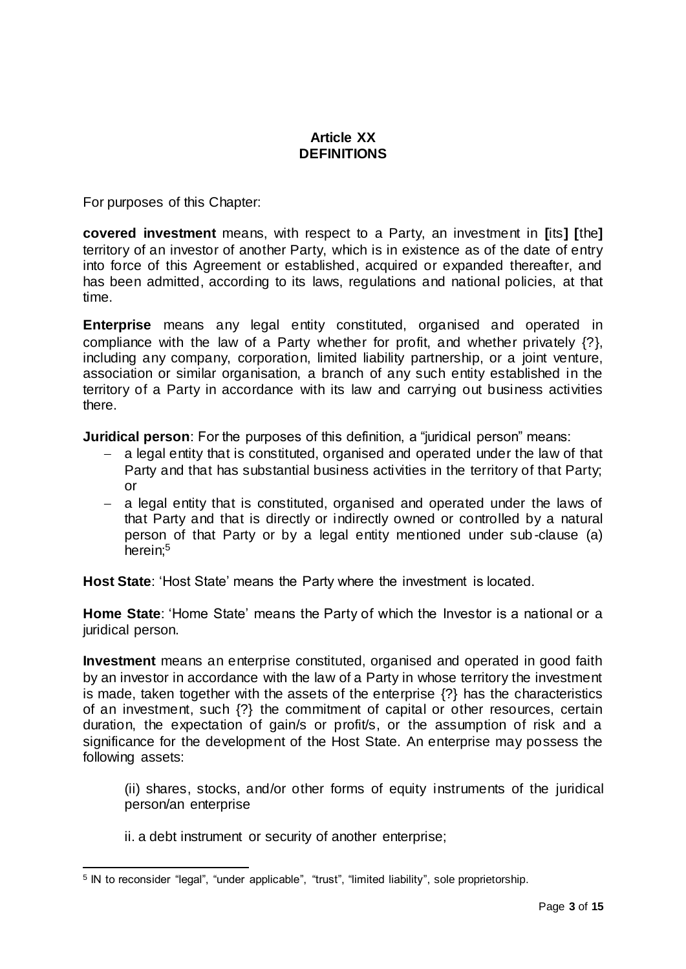# **Article XX DEFINITIONS**

For purposes of this Chapter:

**covered investment** means, with respect to a Party, an investment in **[**its**] [**the**]** territory of an investor of another Party, which is in existence as of the date of entry into force of this Agreement or established, acquired or expanded thereafter, and has been admitted, according to its laws, regulations and national policies, at that time.

**Enterprise** means any legal entity constituted, organised and operated in compliance with the law of a Party whether for profit, and whether privately {?}, including any company, corporation, limited liability partnership, or a joint venture, association or similar organisation, a branch of any such entity established in the territory of a Party in accordance with its law and carrying out business activities there.

**Juridical person**: For the purposes of this definition, a "juridical person" means:

- a legal entity that is constituted, organised and operated under the law of that Party and that has substantial business activities in the territory of that Party; or
- a legal entity that is constituted, organised and operated under the laws of that Party and that is directly or indirectly owned or controlled by a natural person of that Party or by a legal entity mentioned under sub -clause (a) herein:<sup>5</sup>

**Host State**: 'Host State' means the Party where the investment is located.

**Home State**: 'Home State' means the Party of which the Investor is a national or a juridical person.

**Investment** means an enterprise constituted, organised and operated in good faith by an investor in accordance with the law of a Party in whose territory the investment is made, taken together with the assets of the enterprise {?} has the characteristics of an investment, such {?} the commitment of capital or other resources, certain duration, the expectation of gain/s or profit/s, or the assumption of risk and a significance for the development of the Host State. An enterprise may possess the following assets:

(ii) shares, stocks, and/or other forms of equity instruments of the juridical person/an enterprise

ii. a debt instrument or security of another enterprise;

 $\overline{a}$ <sup>5</sup> IN to reconsider "legal", "under applicable", "trust", "limited liability", sole proprietorship.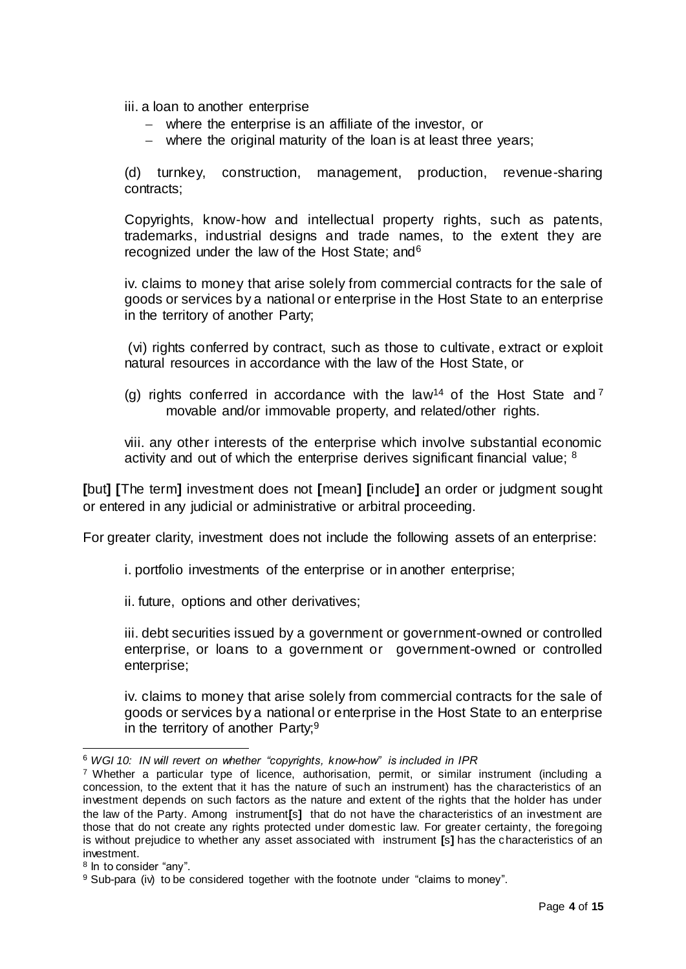iii. a loan to another enterprise

- where the enterprise is an affiliate of the investor, or
- where the original maturity of the loan is at least three years;

(d) turnkey, construction, management, production, revenue-sharing contracts;

Copyrights, know-how and intellectual property rights, such as patents, trademarks, industrial designs and trade names, to the extent they are recognized under the law of the Host State; and<sup>6</sup>

iv. claims to money that arise solely from commercial contracts for the sale of goods or services by a national or enterprise in the Host State to an enterprise in the territory of another Party;

(vi) rights conferred by contract, such as those to cultivate, extract or exploit natural resources in accordance with the law of the Host State, or

(g) rights conferred in accordance with the law<sup>14</sup> of the Host State and  $^7$ movable and/or immovable property, and related/other rights.

viii. any other interests of the enterprise which involve substantial economic activity and out of which the enterprise derives significant financial value; <sup>8</sup>

**[**but**] [**The term**]** investment does not **[**mean**] [**include**]** an order or judgment sought or entered in any judicial or administrative or arbitral proceeding.

For greater clarity, investment does not include the following assets of an enterprise:

i. portfolio investments of the enterprise or in another enterprise;

ii. future, options and other derivatives;

iii. debt securities issued by a government or government-owned or controlled enterprise, or loans to a government or government-owned or controlled enterprise;

iv. claims to money that arise solely from commercial contracts for the sale of goods or services by a national or enterprise in the Host State to an enterprise in the territory of another Party;  $9$ 

 $\overline{a}$ <sup>6</sup> *WGI 10: IN will revert on whether "copyrights, know-how" is included in IPR*

<sup>7</sup> Whether a particular type of licence, authorisation, permit, or similar instrument (including a concession, to the extent that it has the nature of such an instrument) has the characteristics of an investment depends on such factors as the nature and extent of the rights that the holder has under the law of the Party. Among instrument**[**s**]** that do not have the characteristics of an investment are those that do not create any rights protected under domestic law. For greater certainty, the foregoing is without prejudice to whether any asset associated with instrument **[**s**]** has the characteristics of an investment.

<sup>&</sup>lt;sup>8</sup> In to consider "any".

<sup>9</sup> Sub-para (iv) to be considered together with the footnote under "claims to money".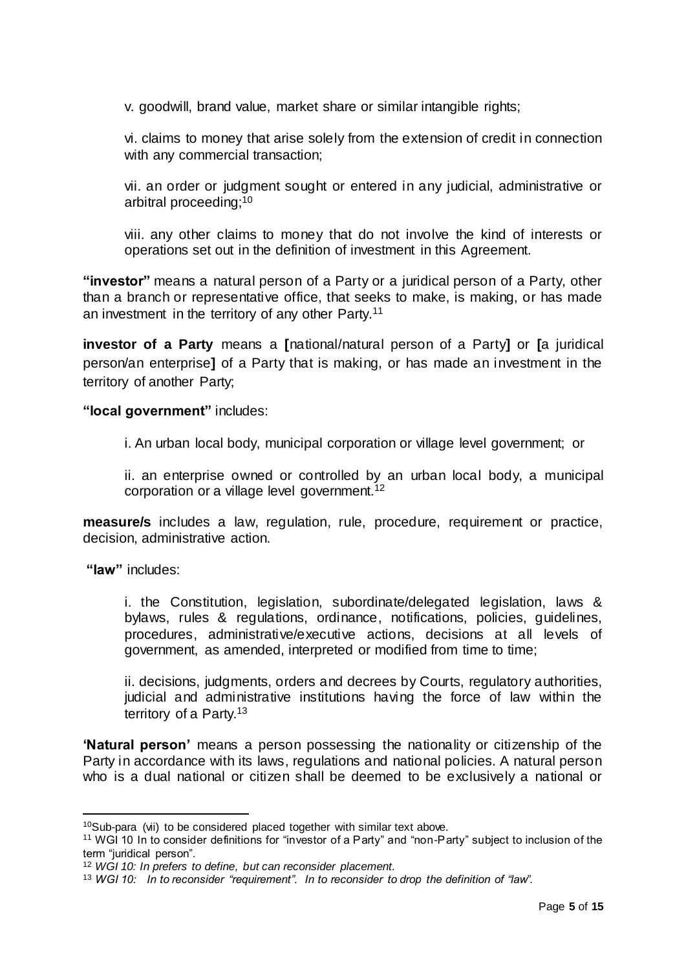v. goodwill, brand value, market share or similar intangible rights;

vi. claims to money that arise solely from the extension of credit in connection with any commercial transaction;

vii. an order or judgment sought or entered in any judicial, administrative or arbitral proceeding;<sup>10</sup>

viii. any other claims to money that do not involve the kind of interests or operations set out in the definition of investment in this Agreement.

**"investor"** means a natural person of a Party or a juridical person of a Party, other than a branch or representative office, that seeks to make, is making, or has made an investment in the territory of any other Party.<sup>11</sup>

**investor of a Party** means a **[**national/natural person of a Party**]** or **[**a juridical person/an enterprise**]** of a Party that is making, or has made an investment in the territory of another Party;

**"local government"** includes:

i. An urban local body, municipal corporation or village level government; or

ii. an enterprise owned or controlled by an urban local body, a municipal corporation or a village level government.<sup>12</sup>

**measure/s** includes a law, regulation, rule, procedure, requirement or practice, decision, administrative action.

**"law"** includes:

l

i. the Constitution, legislation, subordinate/delegated legislation, laws & bylaws, rules & regulations, ordinance, notifications, policies, guidelines, procedures, administrative/executive actions, decisions at all levels of government, as amended, interpreted or modified from time to time;

ii. decisions, judgments, orders and decrees by Courts, regulatory authorities, judicial and administrative institutions having the force of law within the territory of a Party.<sup>13</sup>

**'Natural person'** means a person possessing the nationality or citizenship of the Party in accordance with its laws, regulations and national policies. A natural person who is a dual national or citizen shall be deemed to be exclusively a national or

 $10$ Sub-para (vii) to be considered placed together with similar text above.

<sup>11</sup> WGI 10 In to consider definitions for "investor of a Party" and "non-Party" subject to inclusion of the term "juridical person".

<sup>12</sup> *WGI 10: In prefers to define, but can reconsider placement.*

<sup>13</sup> *WGI 10: In to reconsider "requirement". In to reconsider to drop the definition of "law".*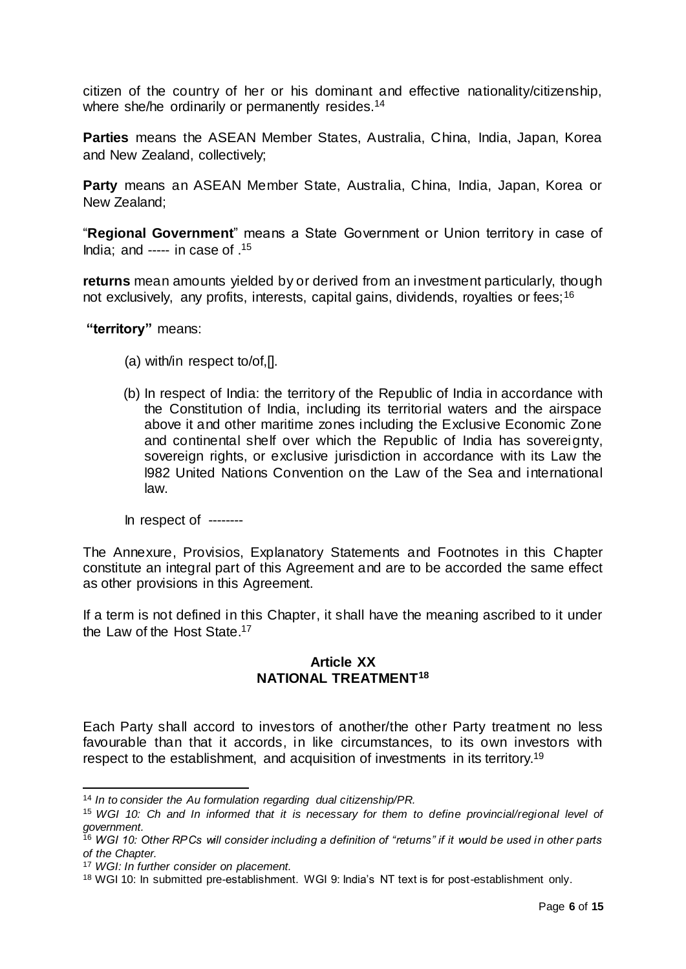citizen of the country of her or his dominant and effective nationality/citizenship, where she/he ordinarily or permanently resides.<sup>14</sup>

**Parties** means the ASEAN Member States, Australia, China, India, Japan, Korea and New Zealand, collectively;

**Party** means an ASEAN Member State, Australia, China, India, Japan, Korea or New Zealand;

"**Regional Government**" means a State Government or Union territory in case of India: and ----- in case of  $15$ 

**returns** mean amounts yielded by or derived from an investment particularly, though not exclusively, any profits, interests, capital gains, dividends, royalties or fees: <sup>16</sup>

**"territory"** means:

- (a) with/in respect to/of,[].
- (b) In respect of India: the territory of the Republic of India in accordance with the Constitution of India, including its territorial waters and the airspace above it and other maritime zones including the Exclusive Economic Zone and continental shelf over which the Republic of India has sovereignty, sovereign rights, or exclusive jurisdiction in accordance with its Law the l982 United Nations Convention on the Law of the Sea and international law.

In respect of --------

The Annexure, Provisios, Explanatory Statements and Footnotes in this Chapter constitute an integral part of this Agreement and are to be accorded the same effect as other provisions in this Agreement.

If a term is not defined in this Chapter, it shall have the meaning ascribed to it under the Law of the Host State. 17

### **Article XX NATIONAL TREATMENT<sup>18</sup>**

Each Party shall accord to investors of another/the other Party treatment no less favourable than that it accords, in like circumstances, to its own investors with respect to the establishment, and acquisition of investments in its territory.<sup>19</sup>

l <sup>14</sup> *In to consider the Au formulation regarding dual citizenship/PR.*

<sup>15</sup> *WGI 10: Ch and In informed that it is necessary for them to define provincial/regional level of government.*

<sup>16</sup> *WGI 10: Other RPCs will consider including a definition of "returns" if it would be used in other parts of the Chapter.*

<sup>17</sup> *WGI: In further consider on placement.*

<sup>18</sup> WGI 10: In submitted pre-establishment. WGI 9: India's NT text is for post-establishment only.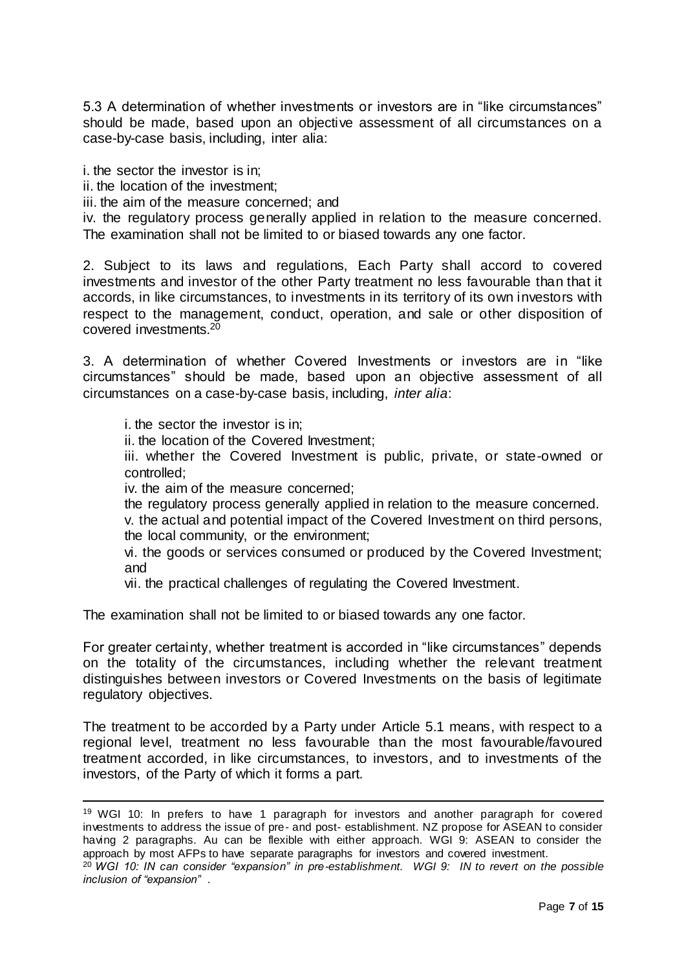5.3 A determination of whether investments or investors are in "like circumstances" should be made, based upon an objective assessment of all circumstances on a case-by-case basis, including, inter alia:

i. the sector the investor is in;

ii. the location of the investment;

iii. the aim of the measure concerned; and

iv. the regulatory process generally applied in relation to the measure concerned. The examination shall not be limited to or biased towards any one factor.

2. Subject to its laws and regulations, Each Party shall accord to covered investments and investor of the other Party treatment no less favourable than that it accords, in like circumstances, to investments in its territory of its own investors with respect to the management, conduct, operation, and sale or other disposition of covered investments.<sup>20</sup>

3. A determination of whether Covered Investments or investors are in "like circumstances" should be made, based upon an objective assessment of all circumstances on a case-by-case basis, including, *inter alia*:

i. the sector the investor is in;

l

ii. the location of the Covered Investment;

iii. whether the Covered Investment is public, private, or state-owned or controlled;

iv. the aim of the measure concerned;

the regulatory process generally applied in relation to the measure concerned.

v. the actual and potential impact of the Covered Investment on third persons, the local community, or the environment;

vi. the goods or services consumed or produced by the Covered Investment; and

vii. the practical challenges of regulating the Covered Investment.

The examination shall not be limited to or biased towards any one factor.

For greater certainty, whether treatment is accorded in "like circumstances" depends on the totality of the circumstances, including whether the relevant treatment distinguishes between investors or Covered Investments on the basis of legitimate regulatory objectives.

The treatment to be accorded by a Party under Article 5.1 means, with respect to a regional level, treatment no less favourable than the most favourable/favoured treatment accorded, in like circumstances, to investors, and to investments of the investors, of the Party of which it forms a part.

<sup>19</sup> WGI 10: In prefers to have 1 paragraph for investors and another paragraph for covered investments to address the issue of pre- and post- establishment. NZ propose for ASEAN to consider having 2 paragraphs. Au can be flexible with either approach. WGI 9: ASEAN to consider the approach by most AFPs to have separate paragraphs for investors and covered investment.

<sup>20</sup> *WGI 10: IN can consider "expansion" in pre-establishment. WGI 9: IN to revert on the possible inclusion of "expansion"* .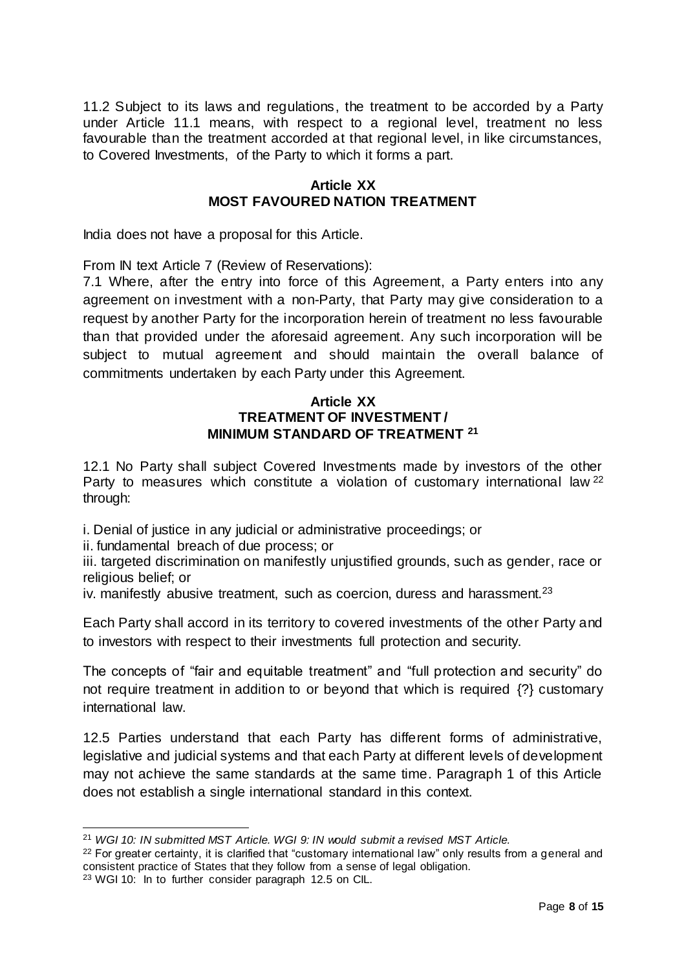11.2 Subject to its laws and regulations, the treatment to be accorded by a Party under Article 11.1 means, with respect to a regional level, treatment no less favourable than the treatment accorded at that regional level, in like circumstances, to Covered Investments, of the Party to which it forms a part.

#### **Article XX MOST FAVOURED NATION TREATMENT**

India does not have a proposal for this Article.

From IN text Article 7 (Review of Reservations):

7.1 Where, after the entry into force of this Agreement, a Party enters into any agreement on investment with a non-Party, that Party may give consideration to a request by another Party for the incorporation herein of treatment no less favourable than that provided under the aforesaid agreement. Any such incorporation will be subject to mutual agreement and should maintain the overall balance of commitments undertaken by each Party under this Agreement.

#### **Article XX TREATMENT OF INVESTMENT / MINIMUM STANDARD OF TREATMENT <sup>21</sup>**

12.1 No Party shall subject Covered Investments made by investors of the other Party to measures which constitute a violation of customary international law <sup>22</sup> through:

i. Denial of justice in any judicial or administrative proceedings; or

ii. fundamental breach of due process; or

iii. targeted discrimination on manifestly unjustified grounds, such as gender, race or religious belief; or

iv. manifestly abusive treatment, such as coercion, duress and harassment.<sup>23</sup>

Each Party shall accord in its territory to covered investments of the other Party and to investors with respect to their investments full protection and security.

The concepts of "fair and equitable treatment" and "full protection and security" do not require treatment in addition to or beyond that which is required {?} customary international law.

12.5 Parties understand that each Party has different forms of administrative, legislative and judicial systems and that each Party at different levels of development may not achieve the same standards at the same time. Paragraph 1 of this Article does not establish a single international standard in this context.

l

<sup>21</sup> *WGI 10: IN submitted MST Article. WGI 9: IN would submit a revised MST Article.*

 $22$  For greater certainty, it is clarified that "customary international law" only results from a general and consistent practice of States that they follow from a sense of legal obligation.

<sup>23</sup> WGI 10: In to further consider paragraph 12.5 on CIL.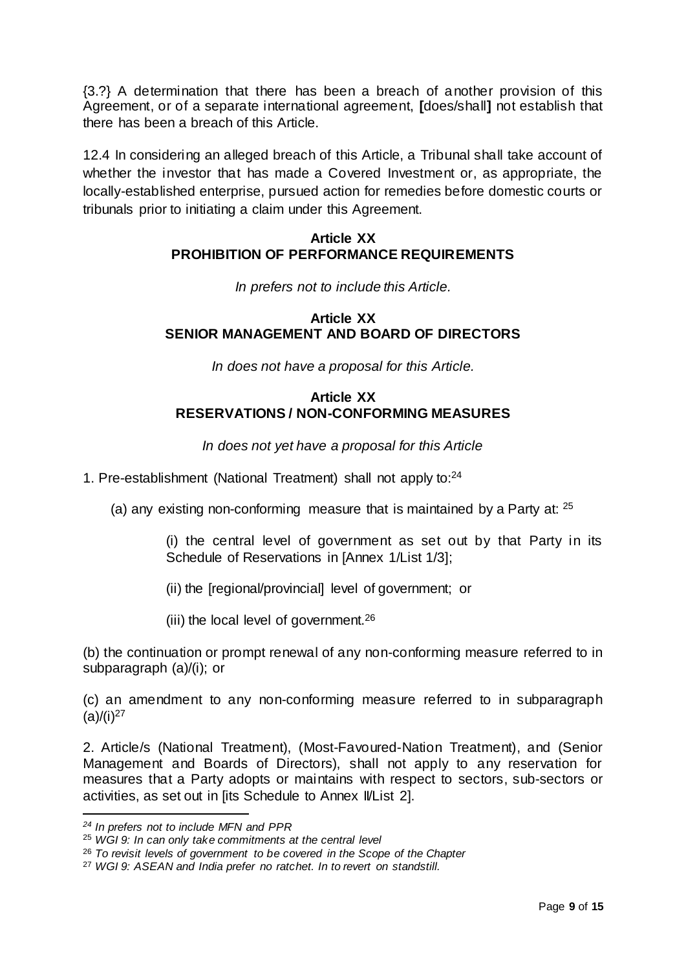{3.?} A determination that there has been a breach of another provision of this Agreement, or of a separate international agreement, **[**does/shall**]** not establish that there has been a breach of this Article.

12.4 In considering an alleged breach of this Article, a Tribunal shall take account of whether the investor that has made a Covered Investment or, as appropriate, the locally-established enterprise, pursued action for remedies before domestic courts or tribunals prior to initiating a claim under this Agreement.

## **Article XX PROHIBITION OF PERFORMANCE REQUIREMENTS**

*In prefers not to include this Article.*

### **Article XX SENIOR MANAGEMENT AND BOARD OF DIRECTORS**

*In does not have a proposal for this Article.*

### **Article XX RESERVATIONS / NON-CONFORMING MEASURES**

*In does not yet have a proposal for this Article*

- 1. Pre-establishment (National Treatment) shall not apply to:<sup>24</sup>
	- (a) any existing non-conforming measure that is maintained by a Party at:  $25$

(i) the central level of government as set out by that Party in its Schedule of Reservations in [Annex 1/List 1/3];

- (ii) the [regional/provincial] level of government; or
- (iii) the local level of government.<sup>26</sup>

(b) the continuation or prompt renewal of any non-conforming measure referred to in subparagraph (a)/(i); or

(c) an amendment to any non-conforming measure referred to in subparagraph  $(a)/(i)^{27}$ 

2. Article/s (National Treatment), (Most-Favoured-Nation Treatment), and (Senior Management and Boards of Directors), shall not apply to any reservation for measures that a Party adopts or maintains with respect to sectors, sub-sectors or activities, as set out in [its Schedule to Annex IVList 2].

l

*<sup>24</sup> In prefers not to include MFN and PPR*

<sup>25</sup> *WGI 9: In can only take commitments at the central level*

<sup>26</sup> *To revisit levels of government to be covered in the Scope of the Chapter*

<sup>27</sup> *WGI 9: ASEAN and India prefer no ratchet. In to revert on standstill.*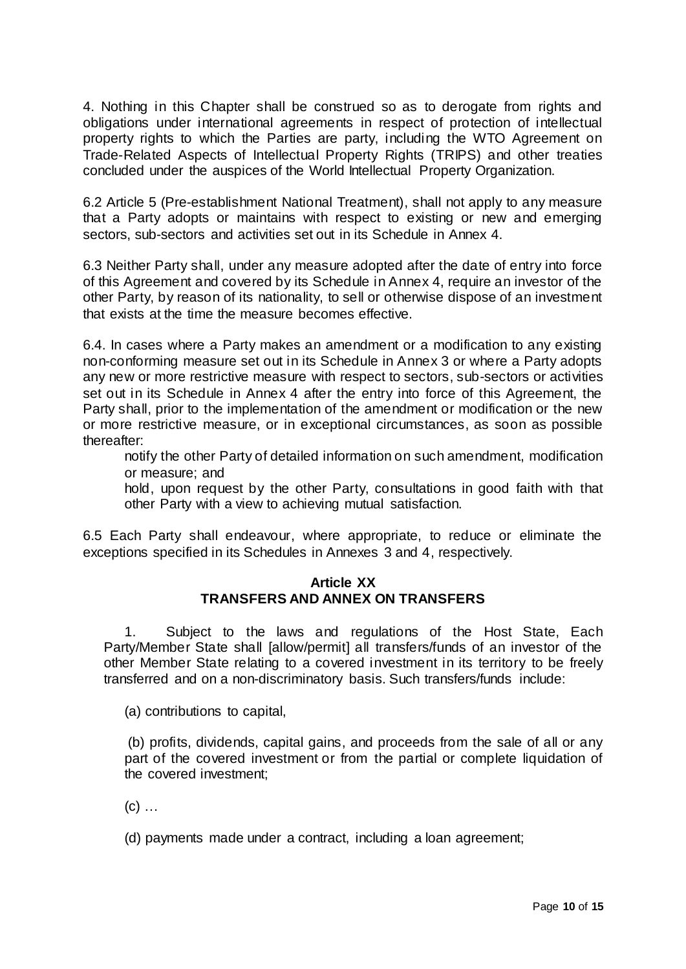4. Nothing in this Chapter shall be construed so as to derogate from rights and obligations under international agreements in respect of protection of intellectual property rights to which the Parties are party, including the WTO Agreement on Trade-Related Aspects of Intellectual Property Rights (TRIPS) and other treaties concluded under the auspices of the World Intellectual Property Organization.

6.2 Article 5 (Pre-establishment National Treatment), shall not apply to any measure that a Party adopts or maintains with respect to existing or new and emerging sectors, sub-sectors and activities set out in its Schedule in Annex 4.

6.3 Neither Party shall, under any measure adopted after the date of entry into force of this Agreement and covered by its Schedule in Annex 4, require an investor of the other Party, by reason of its nationality, to sell or otherwise dispose of an investment that exists at the time the measure becomes effective.

6.4. In cases where a Party makes an amendment or a modification to any existing non-conforming measure set out in its Schedule in Annex 3 or where a Party adopts any new or more restrictive measure with respect to sectors, sub-sectors or activities set out in its Schedule in Annex 4 after the entry into force of this Agreement, the Party shall, prior to the implementation of the amendment or modification or the new or more restrictive measure, or in exceptional circumstances, as soon as possible thereafter:

notify the other Party of detailed information on such amendment, modification or measure; and

hold, upon request by the other Party, consultations in good faith with that other Party with a view to achieving mutual satisfaction.

6.5 Each Party shall endeavour, where appropriate, to reduce or eliminate the exceptions specified in its Schedules in Annexes 3 and 4, respectively.

#### **Article XX TRANSFERS AND ANNEX ON TRANSFERS**

1. Subject to the laws and regulations of the Host State, Each Party/Member State shall [allow/permit] all transfers/funds of an investor of the other Member State relating to a covered investment in its territory to be freely transferred and on a non-discriminatory basis. Such transfers/funds include:

(a) contributions to capital,

(b) profits, dividends, capital gains, and proceeds from the sale of all or any part of the covered investment or from the partial or complete liquidation of the covered investment;

 $(c)$  ...

(d) payments made under a contract, including a loan agreement;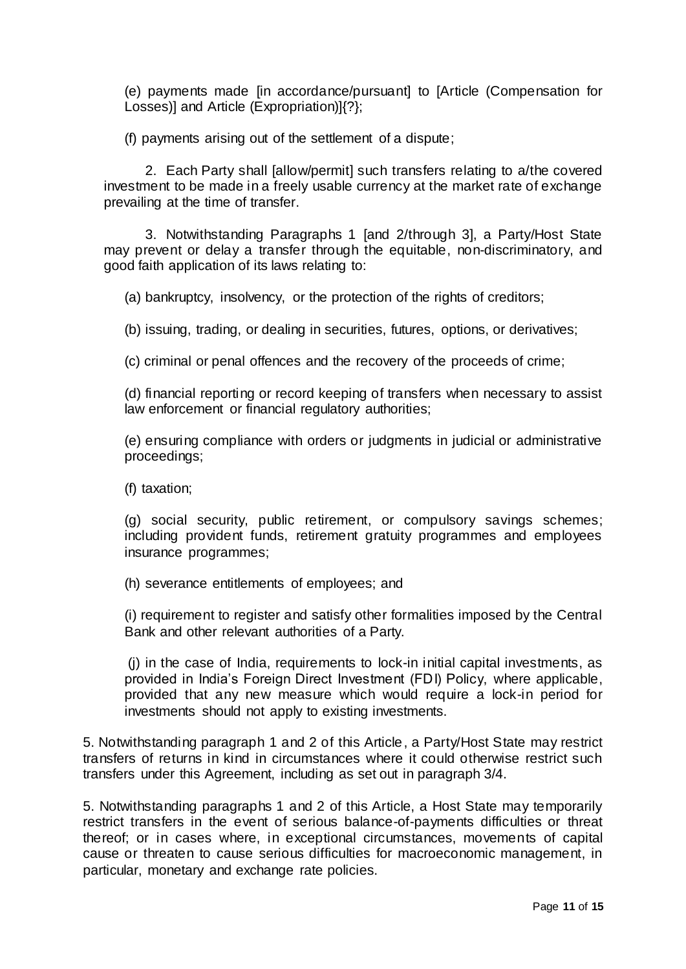(e) payments made [in accordance/pursuant] to [Article (Compensation for Losses)] and Article (Expropriation)]{?};

(f) payments arising out of the settlement of a dispute;

2. Each Party shall [allow/permit] such transfers relating to a/the covered investment to be made in a freely usable currency at the market rate of exchange prevailing at the time of transfer.

3. Notwithstanding Paragraphs 1 [and 2/through 3], a Party/Host State may prevent or delay a transfer through the equitable, non-discriminatory, and good faith application of its laws relating to:

(a) bankruptcy, insolvency, or the protection of the rights of creditors;

(b) issuing, trading, or dealing in securities, futures, options, or derivatives;

(c) criminal or penal offences and the recovery of the proceeds of crime;

(d) financial reporting or record keeping of transfers when necessary to assist law enforcement or financial regulatory authorities;

(e) ensuring compliance with orders or judgments in judicial or administrative proceedings;

(f) taxation;

(g) social security, public retirement, or compulsory savings schemes; including provident funds, retirement gratuity programmes and employees insurance programmes;

(h) severance entitlements of employees; and

(i) requirement to register and satisfy other formalities imposed by the Central Bank and other relevant authorities of a Party.

(j) in the case of India, requirements to lock-in initial capital investments, as provided in India's Foreign Direct Investment (FDI) Policy, where applicable, provided that any new measure which would require a lock-in period for investments should not apply to existing investments.

5. Notwithstanding paragraph 1 and 2 of this Article, a Party/Host State may restrict transfers of returns in kind in circumstances where it could otherwise restrict such transfers under this Agreement, including as set out in paragraph 3/4.

5. Notwithstanding paragraphs 1 and 2 of this Article, a Host State may temporarily restrict transfers in the event of serious balance-of-payments difficulties or threat thereof; or in cases where, in exceptional circumstances, movements of capital cause or threaten to cause serious difficulties for macroeconomic management, in particular, monetary and exchange rate policies.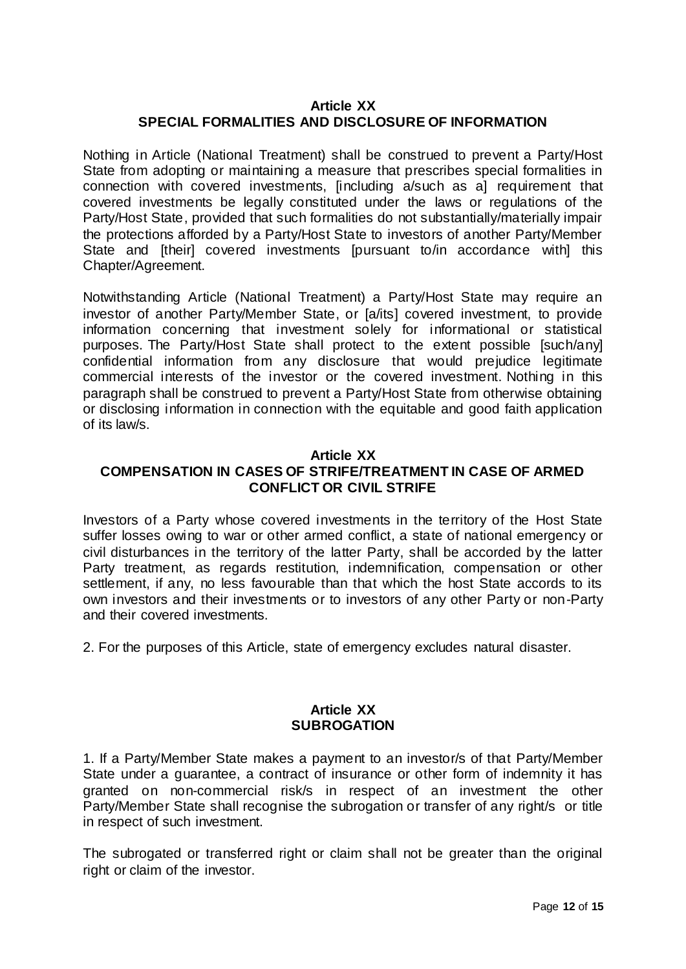# **Article XX SPECIAL FORMALITIES AND DISCLOSURE OF INFORMATION**

Nothing in Article (National Treatment) shall be construed to prevent a Party/Host State from adopting or maintaining a measure that prescribes special formalities in connection with covered investments, [including a/such as a] requirement that covered investments be legally constituted under the laws or regulations of the Party/Host State, provided that such formalities do not substantially/materially impair the protections afforded by a Party/Host State to investors of another Party/Member State and [their] covered investments [pursuant to/in accordance with] this Chapter/Agreement.

Notwithstanding Article (National Treatment) a Party/Host State may require an investor of another Party/Member State, or [a/its] covered investment, to provide information concerning that investment solely for informational or statistical purposes. The Party/Host State shall protect to the extent possible [such/any] confidential information from any disclosure that would prejudice legitimate commercial interests of the investor or the covered investment. Nothing in this paragraph shall be construed to prevent a Party/Host State from otherwise obtaining or disclosing information in connection with the equitable and good faith application of its law/s.

#### **Article XX**

# **COMPENSATION IN CASES OF STRIFE/TREATMENT IN CASE OF ARMED CONFLICT OR CIVIL STRIFE**

Investors of a Party whose covered investments in the territory of the Host State suffer losses owing to war or other armed conflict, a state of national emergency or civil disturbances in the territory of the latter Party, shall be accorded by the latter Party treatment, as regards restitution, indemnification, compensation or other settlement, if any, no less favourable than that which the host State accords to its own investors and their investments or to investors of any other Party or non-Party and their covered investments.

2. For the purposes of this Article, state of emergency excludes natural disaster.

### **Article XX SUBROGATION**

1. If a Party/Member State makes a payment to an investor/s of that Party/Member State under a guarantee, a contract of insurance or other form of indemnity it has granted on non-commercial risk/s in respect of an investment the other Party/Member State shall recognise the subrogation or transfer of any right/s or title in respect of such investment.

The subrogated or transferred right or claim shall not be greater than the original right or claim of the investor.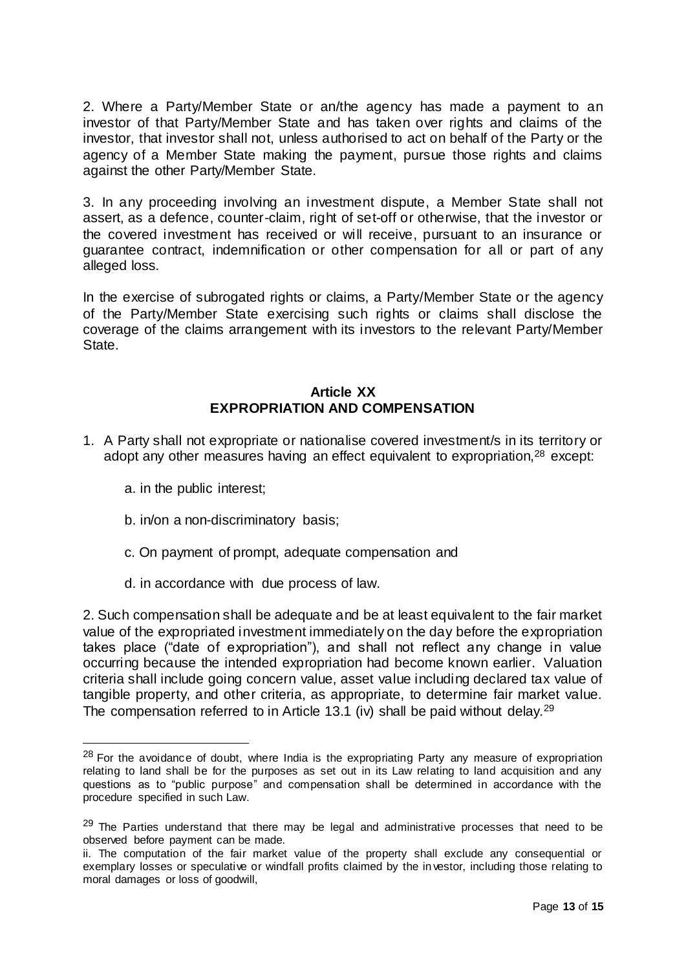2. Where a Party/Member State or an/the agency has made a payment to an investor of that Party/Member State and has taken over rights and claims of the investor, that investor shall not, unless authorised to act on behalf of the Party or the agency of a Member State making the payment, pursue those rights and claims against the other Party/Member State.

3. In any proceeding involving an investment dispute, a Member State shall not assert, as a defence, counter-claim, right of set-off or otherwise, that the investor or the covered investment has received or will receive, pursuant to an insurance or guarantee contract, indemnification or other compensation for all or part of any alleged loss.

In the exercise of subrogated rights or claims, a Party/Member State or the agency of the Party/Member State exercising such rights or claims shall disclose the coverage of the claims arrangement with its investors to the relevant Party/Member State.

### **Article XX EXPROPRIATION AND COMPENSATION**

- 1. A Party shall not expropriate or nationalise covered investment/s in its territory or adopt any other measures having an effect equivalent to expropriation,<sup>28</sup> except:
	- a. in the public interest;

 $\overline{a}$ 

- b. in/on a non-discriminatory basis;
- c. On payment of prompt, adequate compensation and
- d. in accordance with due process of law.

2. Such compensation shall be adequate and be at least equivalent to the fair market value of the expropriated investment immediately on the day before the expropriation takes place ("date of expropriation"), and shall not reflect any change in value occurring because the intended expropriation had become known earlier. Valuation criteria shall include going concern value, asset value including declared tax value of tangible property, and other criteria, as appropriate, to determine fair market value. The compensation referred to in Article 13.1 (iv) shall be paid without delay.<sup>29</sup>

<sup>&</sup>lt;sup>28</sup> For the avoidance of doubt, where India is the expropriating Party any measure of expropriation relating to land shall be for the purposes as set out in its Law relating to land acquisition and any questions as to "public purpose" and compensation shall be determined in accordance with the procedure specified in such Law.

 $29$  The Parties understand that there may be legal and administrative processes that need to be observed before payment can be made.

ii. The computation of the fair market value of the property shall exclude any consequential or exemplary losses or speculative or windfall profits claimed by the in vestor, including those relating to moral damages or loss of goodwill,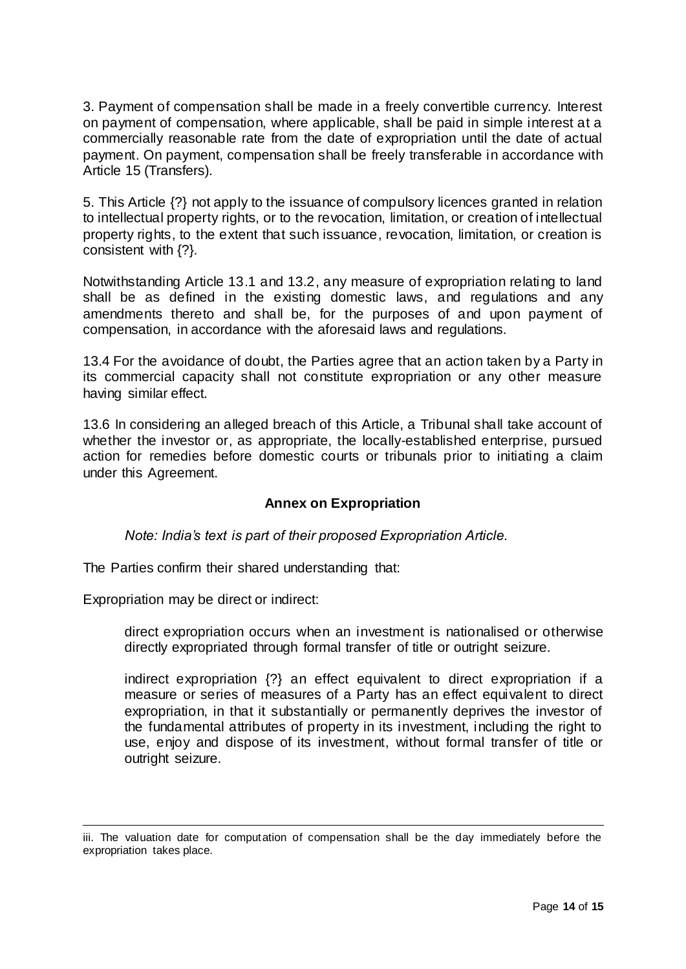3. Payment of compensation shall be made in a freely convertible currency. Interest on payment of compensation, where applicable, shall be paid in simple interest at a commercially reasonable rate from the date of expropriation until the date of actual payment. On payment, compensation shall be freely transferable in accordance with Article 15 (Transfers).

5. This Article {?} not apply to the issuance of compulsory licences granted in relation to intellectual property rights, or to the revocation, limitation, or creation of intellectual property rights, to the extent that such issuance, revocation, limitation, or creation is consistent with {?}.

Notwithstanding Article 13.1 and 13.2, any measure of expropriation relating to land shall be as defined in the existing domestic laws, and regulations and any amendments thereto and shall be, for the purposes of and upon payment of compensation, in accordance with the aforesaid laws and regulations.

13.4 For the avoidance of doubt, the Parties agree that an action taken by a Party in its commercial capacity shall not constitute expropriation or any other measure having similar effect.

13.6 In considering an alleged breach of this Article, a Tribunal shall take account of whether the investor or, as appropriate, the locally-established enterprise, pursued action for remedies before domestic courts or tribunals prior to initiating a claim under this Agreement.

### **Annex on Expropriation**

*Note: India's text is part of their proposed Expropriation Article.*

The Parties confirm their shared understanding that:

Expropriation may be direct or indirect:

l

direct expropriation occurs when an investment is nationalised or otherwise directly expropriated through formal transfer of title or outright seizure.

indirect expropriation {?} an effect equivalent to direct expropriation if a measure or series of measures of a Party has an effect equivalent to direct expropriation, in that it substantially or permanently deprives the investor of the fundamental attributes of property in its investment, including the right to use, enjoy and dispose of its investment, without formal transfer of title or outright seizure.

iii. The valuation date for computation of compensation shall be the day immediately before the expropriation takes place.